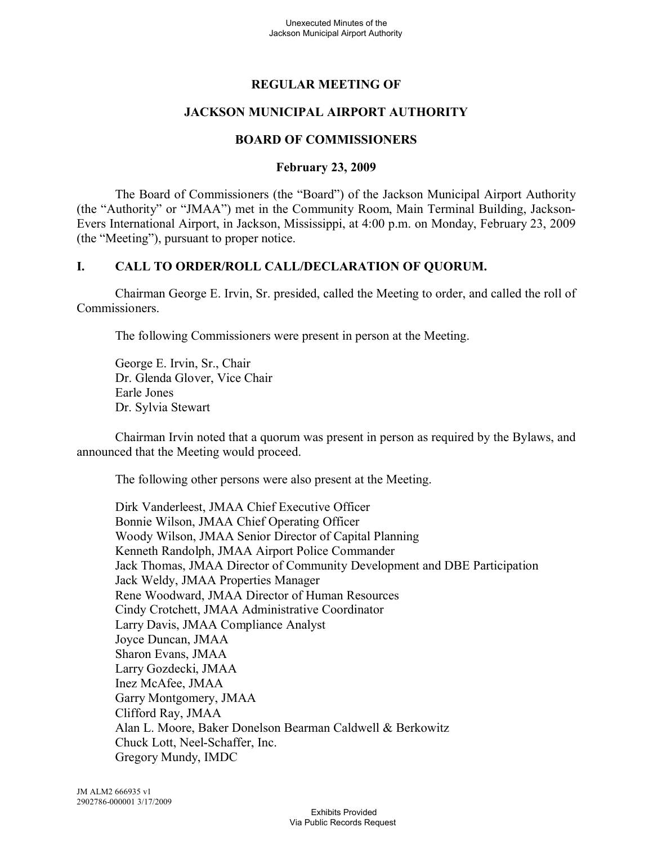# **REGULAR MEETING OF**

# **JACKSON MUNICIPAL AIRPORT AUTHORITY**

# **BOARD OF COMMISSIONERS**

### **February 23, 2009**

The Board of Commissioners (the "Board") of the Jackson Municipal Airport Authority (the "Authority" or "JMAA") met in the Community Room, Main Terminal Building, Jackson-Evers International Airport, in Jackson, Mississippi, at 4:00 p.m. on Monday, February 23, 2009 (the "Meeting"), pursuant to proper notice.

# **I. CALL TO ORDER/ROLL CALL/DECLARATION OF QUORUM.**

Chairman George E. Irvin, Sr. presided, called the Meeting to order, and called the roll of Commissioners.

The following Commissioners were present in person at the Meeting.

George E. Irvin, Sr., Chair Dr. Glenda Glover, Vice Chair Earle Jones Dr. Sylvia Stewart

Chairman Irvin noted that a quorum was present in person as required by the Bylaws, and announced that the Meeting would proceed.

The following other persons were also present at the Meeting.

Dirk Vanderleest, JMAA Chief Executive Officer Bonnie Wilson, JMAA Chief Operating Officer Woody Wilson, JMAA Senior Director of Capital Planning Kenneth Randolph, JMAA Airport Police Commander Jack Thomas, JMAA Director of Community Development and DBE Participation Jack Weldy, JMAA Properties Manager Rene Woodward, JMAA Director of Human Resources Cindy Crotchett, JMAA Administrative Coordinator Larry Davis, JMAA Compliance Analyst Joyce Duncan, JMAA Sharon Evans, JMAA Larry Gozdecki, JMAA Inez McAfee, JMAA Garry Montgomery, JMAA Clifford Ray, JMAA Alan L. Moore, Baker Donelson Bearman Caldwell & Berkowitz Chuck Lott, Neel-Schaffer, Inc. Gregory Mundy, IMDC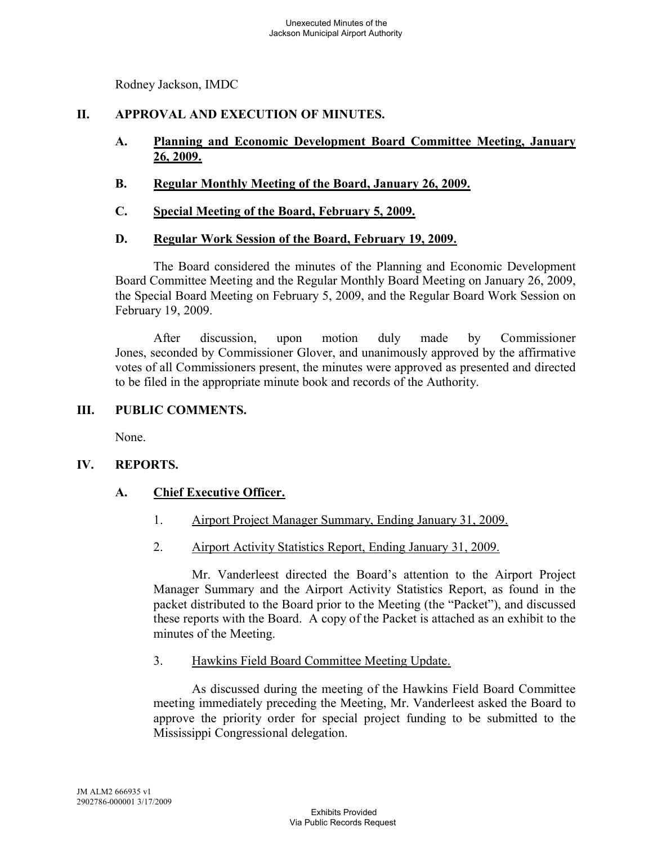Rodney Jackson, IMDC

# **II. APPROVAL AND EXECUTION OF MINUTES.**

- **A. Planning and Economic Development Board Committee Meeting, January 26, 2009.**
- **B. Regular Monthly Meeting of the Board, January 26, 2009.**
- **C. Special Meeting of the Board, February 5, 2009.**

### **D. Regular Work Session of the Board, February 19, 2009.**

The Board considered the minutes of the Planning and Economic Development Board Committee Meeting and the Regular Monthly Board Meeting on January 26, 2009, the Special Board Meeting on February 5, 2009, and the Regular Board Work Session on February 19, 2009.

After discussion, upon motion duly made by Commissioner Jones, seconded by Commissioner Glover, and unanimously approved by the affirmative votes of all Commissioners present, the minutes were approved as presented and directed to be filed in the appropriate minute book and records of the Authority.

### **III. PUBLIC COMMENTS.**

None.

# **IV. REPORTS.**

# **A. Chief Executive Officer.**

- 1. Airport Project Manager Summary, Ending January 31, 2009.
- 2. Airport Activity Statistics Report, Ending January 31, 2009.

Mr. Vanderleest directed the Board's attention to the Airport Project Manager Summary and the Airport Activity Statistics Report, as found in the packet distributed to the Board prior to the Meeting (the "Packet"), and discussed these reports with the Board. A copy of the Packet is attached as an exhibit to the minutes of the Meeting.

3. Hawkins Field Board Committee Meeting Update.

As discussed during the meeting of the Hawkins Field Board Committee meeting immediately preceding the Meeting, Mr. Vanderleest asked the Board to approve the priority order for special project funding to be submitted to the Mississippi Congressional delegation.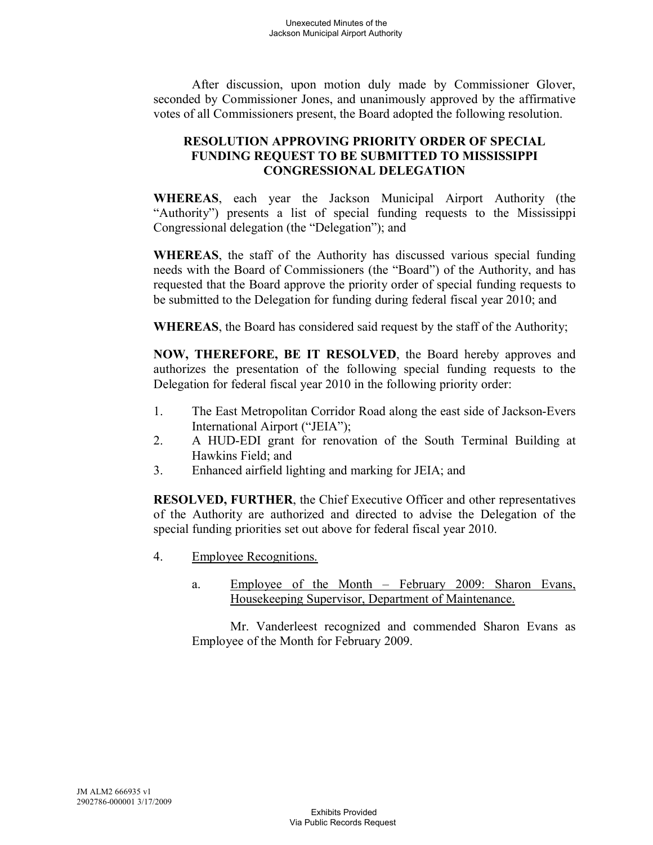After discussion, upon motion duly made by Commissioner Glover, seconded by Commissioner Jones, and unanimously approved by the affirmative votes of all Commissioners present, the Board adopted the following resolution.

# **RESOLUTION APPROVING PRIORITY ORDER OF SPECIAL FUNDING REQUEST TO BE SUBMITTED TO MISSISSIPPI CONGRESSIONAL DELEGATION**

**WHEREAS**, each year the Jackson Municipal Airport Authority (the "Authority") presents a list of special funding requests to the Mississippi Congressional delegation (the "Delegation"); and

**WHEREAS**, the staff of the Authority has discussed various special funding needs with the Board of Commissioners (the "Board") of the Authority, and has requested that the Board approve the priority order of special funding requests to be submitted to the Delegation for funding during federal fiscal year 2010; and

**WHEREAS**, the Board has considered said request by the staff of the Authority;

**NOW, THEREFORE, BE IT RESOLVED**, the Board hereby approves and authorizes the presentation of the following special funding requests to the Delegation for federal fiscal year 2010 in the following priority order:

- 1. The East Metropolitan Corridor Road along the east side of Jackson-Evers International Airport ("JEIA");
- 2. A HUD-EDI grant for renovation of the South Terminal Building at Hawkins Field; and
- 3. Enhanced airfield lighting and marking for JEIA; and

**RESOLVED, FURTHER**, the Chief Executive Officer and other representatives of the Authority are authorized and directed to advise the Delegation of the special funding priorities set out above for federal fiscal year 2010.

- 4. Employee Recognitions.
	- a. Employee of the Month February 2009: Sharon Evans, Housekeeping Supervisor, Department of Maintenance.

Mr. Vanderleest recognized and commended Sharon Evans as Employee of the Month for February 2009.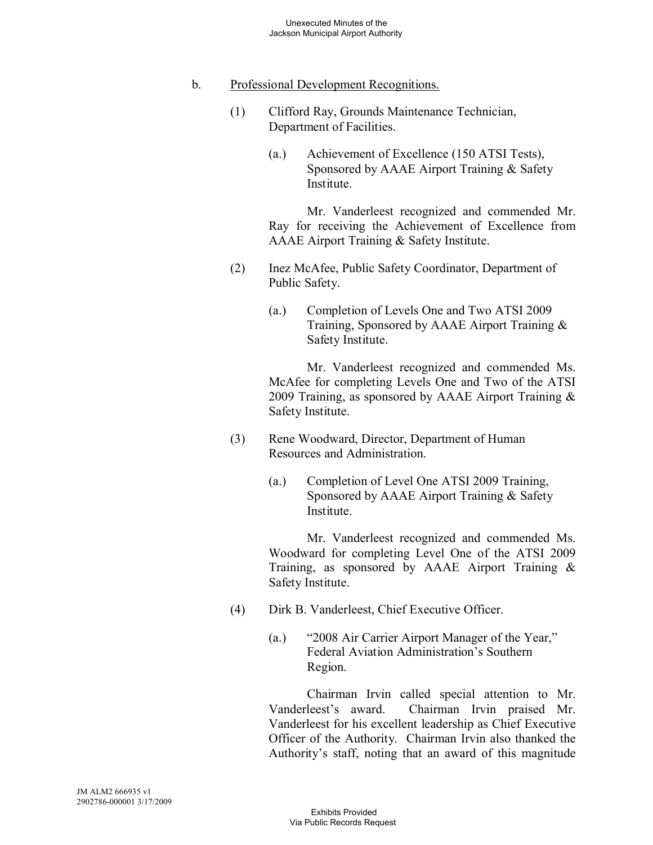# b. Professional Development Recognitions.

- (1) Clifford Ray, Grounds Maintenance Technician, Department of Facilities.
	- (a.) Achievement of Excellence (150 ATSI Tests), Sponsored by AAAE Airport Training & Safety Institute.

Mr. Vanderleest recognized and commended Mr. Ray for receiving the Achievement of Excellence from AAAE Airport Training & Safety Institute.

- (2) Inez McAfee, Public Safety Coordinator, Department of Public Safety.
	- (a.) Completion of Levels One and Two ATSI 2009 Training, Sponsored by AAAE Airport Training & Safety Institute.

Mr. Vanderleest recognized and commended Ms. McAfee for completing Levels One and Two of the ATSI 2009 Training, as sponsored by AAAE Airport Training & Safety Institute.

- (3) Rene Woodward, Director, Department of Human Resources and Administration.
	- (a.) Completion of Level One ATSI 2009 Training, Sponsored by AAAE Airport Training & Safety Institute.

Mr. Vanderleest recognized and commended Ms. Woodward for completing Level One of the ATSI 2009 Training, as sponsored by AAAE Airport Training & Safety Institute.

- (4) Dirk B. Vanderleest, Chief Executive Officer.
	- (a.) "2008 Air Carrier Airport Manager of the Year," Federal Aviation Administration's Southern Region.

Chairman Irvin called special attention to Mr. Vanderleest's award. Chairman Irvin praised Mr. Vanderleest for his excellent leadership as Chief Executive Officer of the Authority. Chairman Irvin also thanked the Authority's staff, noting that an award of this magnitude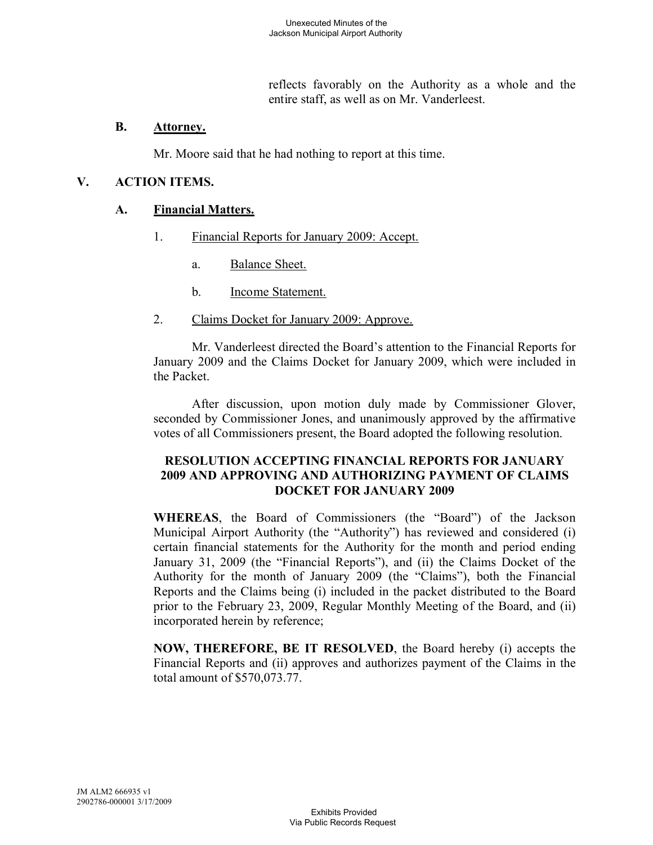reflects favorably on the Authority as a whole and the entire staff, as well as on Mr. Vanderleest.

#### **B. Attorney.**

Mr. Moore said that he had nothing to report at this time.

### **V. ACTION ITEMS.**

#### **A. Financial Matters.**

- 1. Financial Reports for January 2009: Accept.
	- a. Balance Sheet.
	- b. Income Statement.
- 2. Claims Docket for January 2009: Approve.

Mr. Vanderleest directed the Board's attention to the Financial Reports for January 2009 and the Claims Docket for January 2009, which were included in the Packet.

After discussion, upon motion duly made by Commissioner Glover, seconded by Commissioner Jones, and unanimously approved by the affirmative votes of all Commissioners present, the Board adopted the following resolution.

### **RESOLUTION ACCEPTING FINANCIAL REPORTS FOR JANUARY 2009 AND APPROVING AND AUTHORIZING PAYMENT OF CLAIMS DOCKET FOR JANUARY 2009**

**WHEREAS**, the Board of Commissioners (the "Board") of the Jackson Municipal Airport Authority (the "Authority") has reviewed and considered (i) certain financial statements for the Authority for the month and period ending January 31, 2009 (the "Financial Reports"), and (ii) the Claims Docket of the Authority for the month of January 2009 (the "Claims"), both the Financial Reports and the Claims being (i) included in the packet distributed to the Board prior to the February 23, 2009, Regular Monthly Meeting of the Board, and (ii) incorporated herein by reference;

**NOW, THEREFORE, BE IT RESOLVED**, the Board hereby (i) accepts the Financial Reports and (ii) approves and authorizes payment of the Claims in the total amount of \$570,073.77.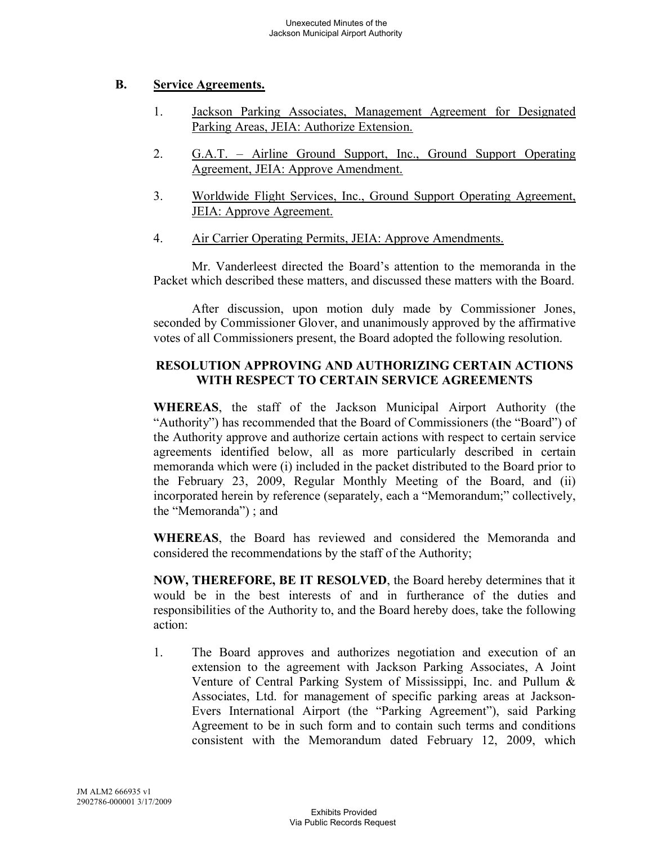### **B. Service Agreements.**

- 1. Jackson Parking Associates, Management Agreement for Designated Parking Areas, JEIA: Authorize Extension.
- 2. G.A.T. Airline Ground Support, Inc., Ground Support Operating Agreement, JEIA: Approve Amendment.
- 3. Worldwide Flight Services, Inc., Ground Support Operating Agreement, JEIA: Approve Agreement.
- 4. Air Carrier Operating Permits, JEIA: Approve Amendments.

Mr. Vanderleest directed the Board's attention to the memoranda in the Packet which described these matters, and discussed these matters with the Board.

After discussion, upon motion duly made by Commissioner Jones, seconded by Commissioner Glover, and unanimously approved by the affirmative votes of all Commissioners present, the Board adopted the following resolution.

# **RESOLUTION APPROVING AND AUTHORIZING CERTAIN ACTIONS WITH RESPECT TO CERTAIN SERVICE AGREEMENTS**

**WHEREAS**, the staff of the Jackson Municipal Airport Authority (the "Authority") has recommended that the Board of Commissioners (the "Board") of the Authority approve and authorize certain actions with respect to certain service agreements identified below, all as more particularly described in certain memoranda which were (i) included in the packet distributed to the Board prior to the February 23, 2009, Regular Monthly Meeting of the Board, and (ii) incorporated herein by reference (separately, each a "Memorandum;" collectively, the "Memoranda") ; and

**WHEREAS**, the Board has reviewed and considered the Memoranda and considered the recommendations by the staff of the Authority;

**NOW, THEREFORE, BE IT RESOLVED**, the Board hereby determines that it would be in the best interests of and in furtherance of the duties and responsibilities of the Authority to, and the Board hereby does, take the following action:

1. The Board approves and authorizes negotiation and execution of an extension to the agreement with Jackson Parking Associates, A Joint Venture of Central Parking System of Mississippi, Inc. and Pullum & Associates, Ltd. for management of specific parking areas at Jackson-Evers International Airport (the "Parking Agreement"), said Parking Agreement to be in such form and to contain such terms and conditions consistent with the Memorandum dated February 12, 2009, which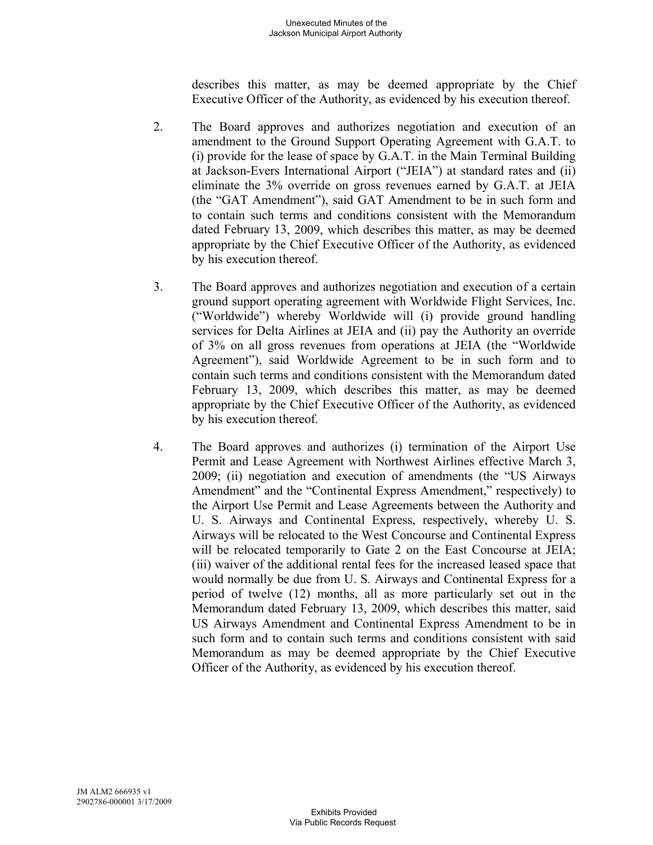describes this matter, as may be deemed appropriate by the Chief Executive Officer of the Authority, as evidenced by his execution thereof.

- 2. The Board approves and authorizes negotiation and execution of an amendment to the Ground Support Operating Agreement with G.A.T. to (i) provide for the lease of space by G.A.T. in the Main Terminal Building at Jackson-Evers International Airport ("JEIA") at standard rates and (ii) eliminate the 3% override on gross revenues earned by G.A.T. at JEIA (the "GAT Amendment"), said GAT Amendment to be in such form and to contain such terms and conditions consistent with the Memorandum dated February 13, 2009, which describes this matter, as may be deemed appropriate by the Chief Executive Officer of the Authority, as evidenced by his execution thereof.
- 3. The Board approves and authorizes negotiation and execution of a certain ground support operating agreement with Worldwide Flight Services, Inc. ("Worldwide") whereby Worldwide will (i) provide ground handling services for Delta Airlines at JEIA and (ii) pay the Authority an override of 3% on all gross revenues from operations at JEIA (the "Worldwide Agreement"), said Worldwide Agreement to be in such form and to contain such terms and conditions consistent with the Memorandum dated February 13, 2009, which describes this matter, as may be deemed appropriate by the Chief Executive Officer of the Authority, as evidenced by his execution thereof.
- 4. The Board approves and authorizes (i) termination of the Airport Use Permit and Lease Agreement with Northwest Airlines effective March 3, 2009; (ii) negotiation and execution of amendments (the "US Airways Amendment" and the "Continental Express Amendment," respectively) to the Airport Use Permit and Lease Agreements between the Authority and U. S. Airways and Continental Express, respectively, whereby U. S. Airways will be relocated to the West Concourse and Continental Express will be relocated temporarily to Gate 2 on the East Concourse at JEIA; (iii) waiver of the additional rental fees for the increased leased space that would normally be due from U. S. Airways and Continental Express for a period of twelve (12) months, all as more particularly set out in the Memorandum dated February 13, 2009, which describes this matter, said US Airways Amendment and Continental Express Amendment to be in such form and to contain such terms and conditions consistent with said Memorandum as may be deemed appropriate by the Chief Executive Officer of the Authority, as evidenced by his execution thereof.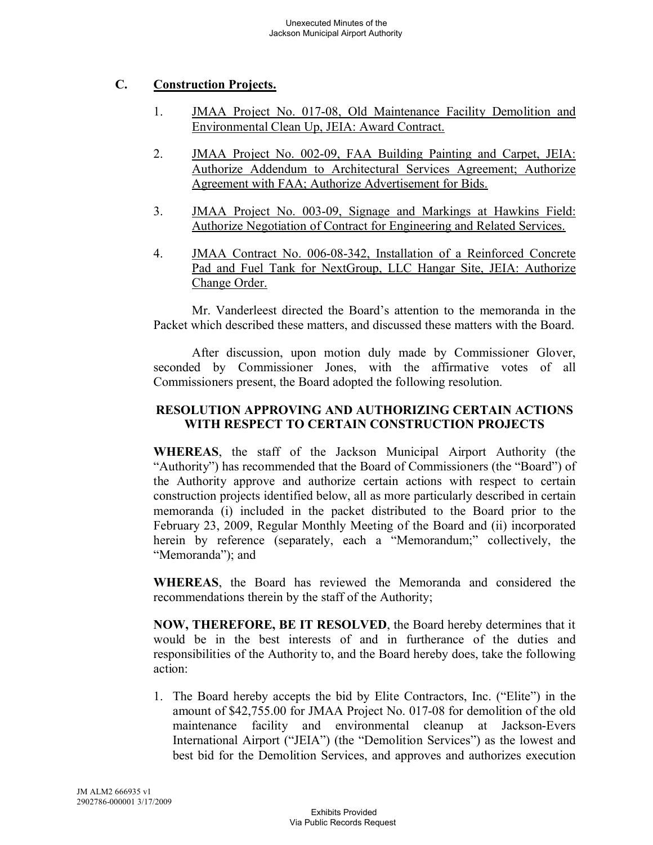# **C. Construction Projects.**

- 1. JMAA Project No. 017-08, Old Maintenance Facility Demolition and Environmental Clean Up, JEIA: Award Contract.
- 2. JMAA Project No. 002-09, FAA Building Painting and Carpet, JEIA: Authorize Addendum to Architectural Services Agreement; Authorize Agreement with FAA; Authorize Advertisement for Bids.
- 3. JMAA Project No. 003-09, Signage and Markings at Hawkins Field: Authorize Negotiation of Contract for Engineering and Related Services.
- 4. JMAA Contract No. 006-08-342, Installation of a Reinforced Concrete Pad and Fuel Tank for NextGroup, LLC Hangar Site, JEIA: Authorize Change Order.

Mr. Vanderleest directed the Board's attention to the memoranda in the Packet which described these matters, and discussed these matters with the Board.

After discussion, upon motion duly made by Commissioner Glover, seconded by Commissioner Jones, with the affirmative votes of all Commissioners present, the Board adopted the following resolution.

# **RESOLUTION APPROVING AND AUTHORIZING CERTAIN ACTIONS WITH RESPECT TO CERTAIN CONSTRUCTION PROJECTS**

**WHEREAS**, the staff of the Jackson Municipal Airport Authority (the "Authority") has recommended that the Board of Commissioners (the "Board") of the Authority approve and authorize certain actions with respect to certain construction projects identified below, all as more particularly described in certain memoranda (i) included in the packet distributed to the Board prior to the February 23, 2009, Regular Monthly Meeting of the Board and (ii) incorporated herein by reference (separately, each a "Memorandum;" collectively, the "Memoranda"); and

**WHEREAS**, the Board has reviewed the Memoranda and considered the recommendations therein by the staff of the Authority;

**NOW, THEREFORE, BE IT RESOLVED**, the Board hereby determines that it would be in the best interests of and in furtherance of the duties and responsibilities of the Authority to, and the Board hereby does, take the following action:

1. The Board hereby accepts the bid by Elite Contractors, Inc. ("Elite") in the amount of \$42,755.00 for JMAA Project No. 017-08 for demolition of the old maintenance facility and environmental cleanup at Jackson-Evers International Airport ("JEIA") (the "Demolition Services") as the lowest and best bid for the Demolition Services, and approves and authorizes execution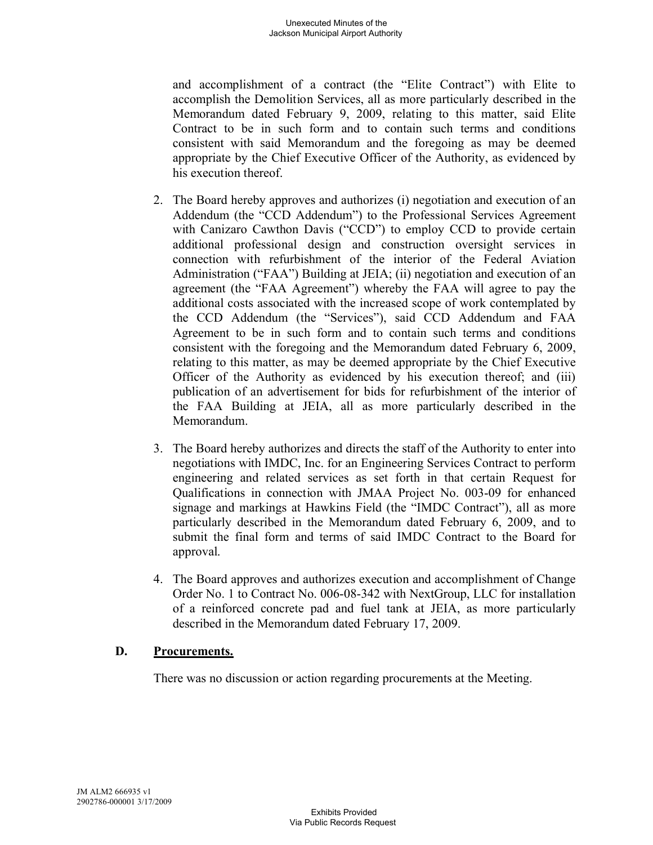and accomplishment of a contract (the "Elite Contract") with Elite to accomplish the Demolition Services, all as more particularly described in the Memorandum dated February 9, 2009, relating to this matter, said Elite Contract to be in such form and to contain such terms and conditions consistent with said Memorandum and the foregoing as may be deemed appropriate by the Chief Executive Officer of the Authority, as evidenced by his execution thereof.

- 2. The Board hereby approves and authorizes (i) negotiation and execution of an Addendum (the "CCD Addendum") to the Professional Services Agreement with Canizaro Cawthon Davis ("CCD") to employ CCD to provide certain additional professional design and construction oversight services in connection with refurbishment of the interior of the Federal Aviation Administration ("FAA") Building at JEIA; (ii) negotiation and execution of an agreement (the "FAA Agreement") whereby the FAA will agree to pay the additional costs associated with the increased scope of work contemplated by the CCD Addendum (the "Services"), said CCD Addendum and FAA Agreement to be in such form and to contain such terms and conditions consistent with the foregoing and the Memorandum dated February 6, 2009, relating to this matter, as may be deemed appropriate by the Chief Executive Officer of the Authority as evidenced by his execution thereof; and (iii) publication of an advertisement for bids for refurbishment of the interior of the FAA Building at JEIA, all as more particularly described in the Memorandum.
- 3. The Board hereby authorizes and directs the staff of the Authority to enter into negotiations with IMDC, Inc. for an Engineering Services Contract to perform engineering and related services as set forth in that certain Request for Qualifications in connection with JMAA Project No. 003-09 for enhanced signage and markings at Hawkins Field (the "IMDC Contract"), all as more particularly described in the Memorandum dated February 6, 2009, and to submit the final form and terms of said IMDC Contract to the Board for approval.
- 4. The Board approves and authorizes execution and accomplishment of Change Order No. 1 to Contract No. 006-08-342 with NextGroup, LLC for installation of a reinforced concrete pad and fuel tank at JEIA, as more particularly described in the Memorandum dated February 17, 2009.

# **D. Procurements.**

There was no discussion or action regarding procurements at the Meeting.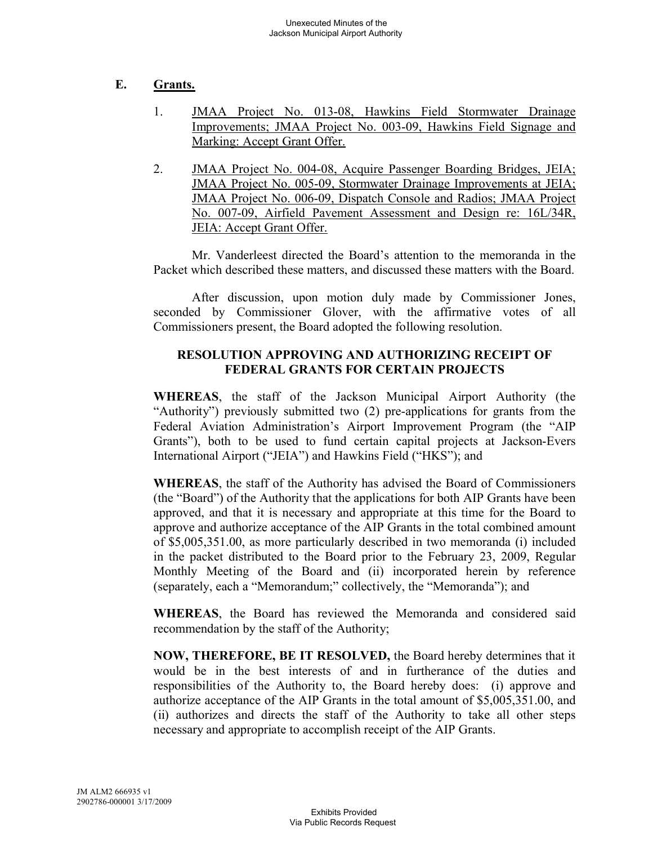# **E. Grants.**

- 1. JMAA Project No. 013-08, Hawkins Field Stormwater Drainage Improvements; JMAA Project No. 003-09, Hawkins Field Signage and Marking: Accept Grant Offer.
- 2. JMAA Project No. 004-08, Acquire Passenger Boarding Bridges, JEIA; JMAA Project No. 005-09, Stormwater Drainage Improvements at JEIA; JMAA Project No. 006-09, Dispatch Console and Radios; JMAA Project No. 007-09, Airfield Pavement Assessment and Design re: 16L/34R, JEIA: Accept Grant Offer.

Mr. Vanderleest directed the Board's attention to the memoranda in the Packet which described these matters, and discussed these matters with the Board.

After discussion, upon motion duly made by Commissioner Jones, seconded by Commissioner Glover, with the affirmative votes of all Commissioners present, the Board adopted the following resolution.

# **RESOLUTION APPROVING AND AUTHORIZING RECEIPT OF FEDERAL GRANTS FOR CERTAIN PROJECTS**

**WHEREAS**, the staff of the Jackson Municipal Airport Authority (the "Authority") previously submitted two (2) pre-applications for grants from the Federal Aviation Administration's Airport Improvement Program (the "AIP Grants"), both to be used to fund certain capital projects at Jackson-Evers International Airport ("JEIA") and Hawkins Field ("HKS"); and

**WHEREAS**, the staff of the Authority has advised the Board of Commissioners (the "Board") of the Authority that the applications for both AIP Grants have been approved, and that it is necessary and appropriate at this time for the Board to approve and authorize acceptance of the AIP Grants in the total combined amount of \$5,005,351.00, as more particularly described in two memoranda (i) included in the packet distributed to the Board prior to the February 23, 2009, Regular Monthly Meeting of the Board and (ii) incorporated herein by reference (separately, each a "Memorandum;" collectively, the "Memoranda"); and

**WHEREAS**, the Board has reviewed the Memoranda and considered said recommendation by the staff of the Authority;

**NOW, THEREFORE, BE IT RESOLVED,** the Board hereby determines that it would be in the best interests of and in furtherance of the duties and responsibilities of the Authority to, the Board hereby does: (i) approve and authorize acceptance of the AIP Grants in the total amount of \$5,005,351.00, and (ii) authorizes and directs the staff of the Authority to take all other steps necessary and appropriate to accomplish receipt of the AIP Grants.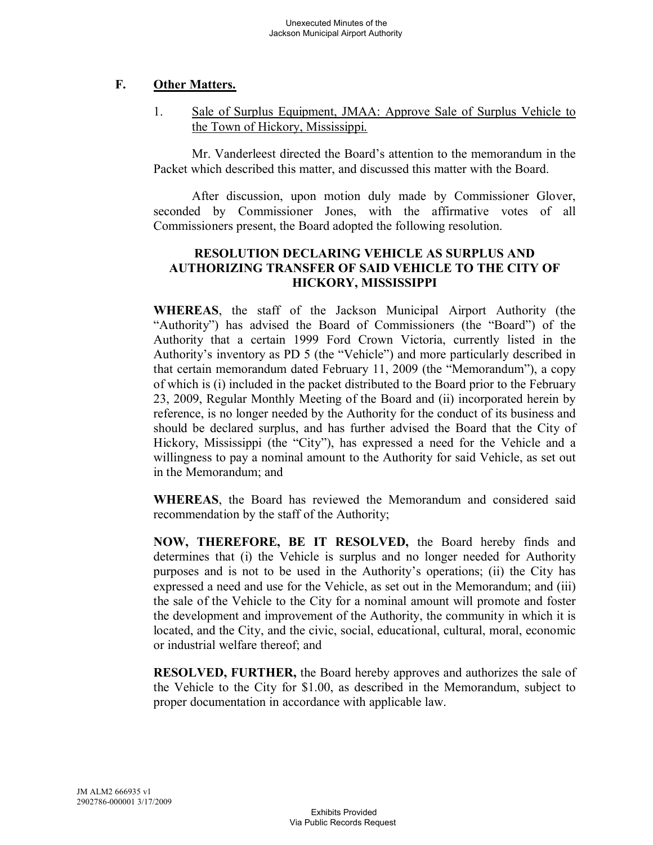# **F. Other Matters.**

1. Sale of Surplus Equipment, JMAA: Approve Sale of Surplus Vehicle to the Town of Hickory, Mississippi.

Mr. Vanderleest directed the Board's attention to the memorandum in the Packet which described this matter, and discussed this matter with the Board.

After discussion, upon motion duly made by Commissioner Glover, seconded by Commissioner Jones, with the affirmative votes of all Commissioners present, the Board adopted the following resolution.

# **RESOLUTION DECLARING VEHICLE AS SURPLUS AND AUTHORIZING TRANSFER OF SAID VEHICLE TO THE CITY OF HICKORY, MISSISSIPPI**

**WHEREAS**, the staff of the Jackson Municipal Airport Authority (the "Authority") has advised the Board of Commissioners (the "Board") of the Authority that a certain 1999 Ford Crown Victoria, currently listed in the Authority's inventory as PD 5 (the "Vehicle") and more particularly described in that certain memorandum dated February 11, 2009 (the "Memorandum"), a copy of which is (i) included in the packet distributed to the Board prior to the February 23, 2009, Regular Monthly Meeting of the Board and (ii) incorporated herein by reference, is no longer needed by the Authority for the conduct of its business and should be declared surplus, and has further advised the Board that the City of Hickory, Mississippi (the "City"), has expressed a need for the Vehicle and a willingness to pay a nominal amount to the Authority for said Vehicle, as set out in the Memorandum; and

**WHEREAS**, the Board has reviewed the Memorandum and considered said recommendation by the staff of the Authority;

**NOW, THEREFORE, BE IT RESOLVED,** the Board hereby finds and determines that (i) the Vehicle is surplus and no longer needed for Authority purposes and is not to be used in the Authority's operations; (ii) the City has expressed a need and use for the Vehicle, as set out in the Memorandum; and (iii) the sale of the Vehicle to the City for a nominal amount will promote and foster the development and improvement of the Authority, the community in which it is located, and the City, and the civic, social, educational, cultural, moral, economic or industrial welfare thereof; and

**RESOLVED, FURTHER,** the Board hereby approves and authorizes the sale of the Vehicle to the City for \$1.00, as described in the Memorandum, subject to proper documentation in accordance with applicable law.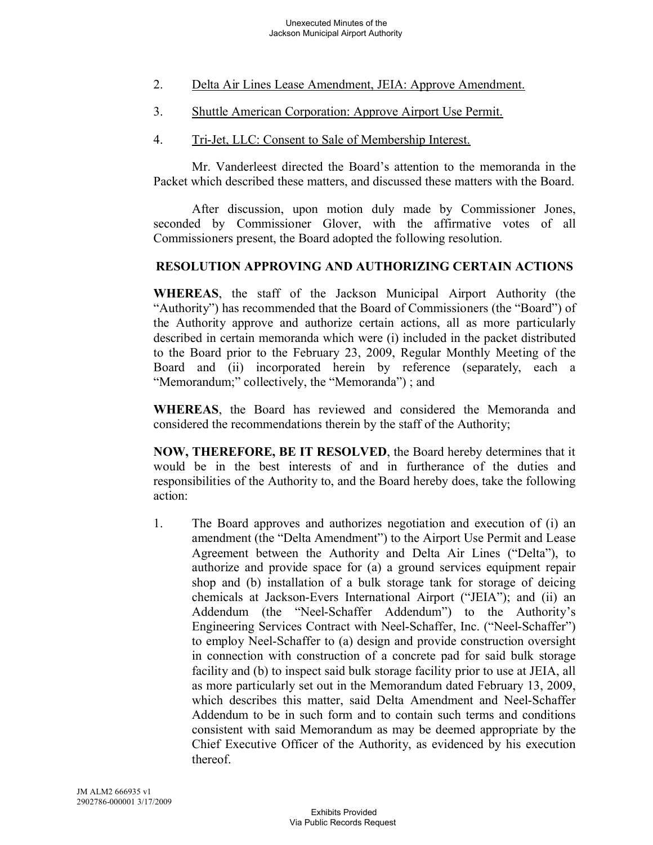- 2. Delta Air Lines Lease Amendment, JEIA: Approve Amendment.
- 3. Shuttle American Corporation: Approve Airport Use Permit.
- 4. Tri-Jet, LLC: Consent to Sale of Membership Interest.

Mr. Vanderleest directed the Board's attention to the memoranda in the Packet which described these matters, and discussed these matters with the Board.

After discussion, upon motion duly made by Commissioner Jones, seconded by Commissioner Glover, with the affirmative votes of all Commissioners present, the Board adopted the following resolution.

# **RESOLUTION APPROVING AND AUTHORIZING CERTAIN ACTIONS**

**WHEREAS**, the staff of the Jackson Municipal Airport Authority (the "Authority") has recommended that the Board of Commissioners (the "Board") of the Authority approve and authorize certain actions, all as more particularly described in certain memoranda which were (i) included in the packet distributed to the Board prior to the February 23, 2009, Regular Monthly Meeting of the Board and (ii) incorporated herein by reference (separately, each a "Memorandum;" collectively, the "Memoranda"); and

**WHEREAS**, the Board has reviewed and considered the Memoranda and considered the recommendations therein by the staff of the Authority;

**NOW, THEREFORE, BE IT RESOLVED**, the Board hereby determines that it would be in the best interests of and in furtherance of the duties and responsibilities of the Authority to, and the Board hereby does, take the following action:

1. The Board approves and authorizes negotiation and execution of (i) an amendment (the "Delta Amendment") to the Airport Use Permit and Lease Agreement between the Authority and Delta Air Lines ("Delta"), to authorize and provide space for (a) a ground services equipment repair shop and (b) installation of a bulk storage tank for storage of deicing chemicals at Jackson-Evers International Airport ("JEIA"); and (ii) an Addendum (the "Neel-Schaffer Addendum") to the Authority's Engineering Services Contract with Neel-Schaffer, Inc. ("Neel-Schaffer") to employ Neel-Schaffer to (a) design and provide construction oversight in connection with construction of a concrete pad for said bulk storage facility and (b) to inspect said bulk storage facility prior to use at JEIA, all as more particularly set out in the Memorandum dated February 13, 2009, which describes this matter, said Delta Amendment and Neel-Schaffer Addendum to be in such form and to contain such terms and conditions consistent with said Memorandum as may be deemed appropriate by the Chief Executive Officer of the Authority, as evidenced by his execution thereof.